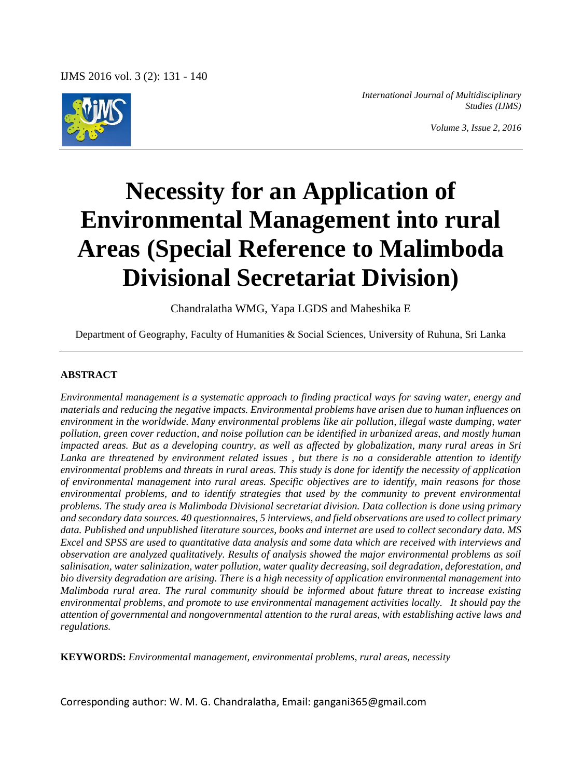

*International Journal of Multidisciplinary Studies (IJMS)*

*Volume 3, Issue 2, 2016*

# **Necessity for an Application of Environmental Management into rural Areas (Special Reference to Malimboda Divisional Secretariat Division)**

Chandralatha WMG, Yapa LGDS and Maheshika E

Department of Geography, Faculty of Humanities & Social Sciences, University of Ruhuna, Sri Lanka

#### **ABSTRACT**

*Environmental management is a systematic approach to finding practical ways for saving water, energy and materials and reducing the negative impacts. Environmental problems have arisen due to human influences on environment in the worldwide. Many environmental problems like air pollution, illegal waste dumping, water pollution, green cover reduction, and noise pollution can be identified in urbanized areas, and mostly human impacted areas. But as a developing country, as well as affected by globalization, many rural areas in Sri Lanka are threatened by environment related issues , but there is no a considerable attention to identify environmental problems and threats in rural areas. This study is done for identify the necessity of application of environmental management into rural areas. Specific objectives are to identify, main reasons for those environmental problems, and to identify strategies that used by the community to prevent environmental problems. The study area is Malimboda Divisional secretariat division. Data collection is done using primary and secondary data sources. 40 questionnaires, 5 interviews, and field observations are used to collect primary data. Published and unpublished literature sources, books and internet are used to collect secondary data. MS Excel and SPSS are used to quantitative data analysis and some data which are received with interviews and observation are analyzed qualitatively. Results of analysis showed the major environmental problems as soil salinisation, water salinization, water pollution, water quality decreasing, soil degradation, deforestation, and bio diversity degradation are arising. There is a high necessity of application environmental management into Malimboda rural area. The rural community should be informed about future threat to increase existing environmental problems, and promote to use environmental management activities locally. It should pay the attention of governmental and nongovernmental attention to the rural areas, with establishing active laws and regulations.*

**KEYWORDS:** *Environmental management, environmental problems, rural areas, necessity*

Corresponding author: W. M. G. Chandralatha, Email: gangani365@gmail.com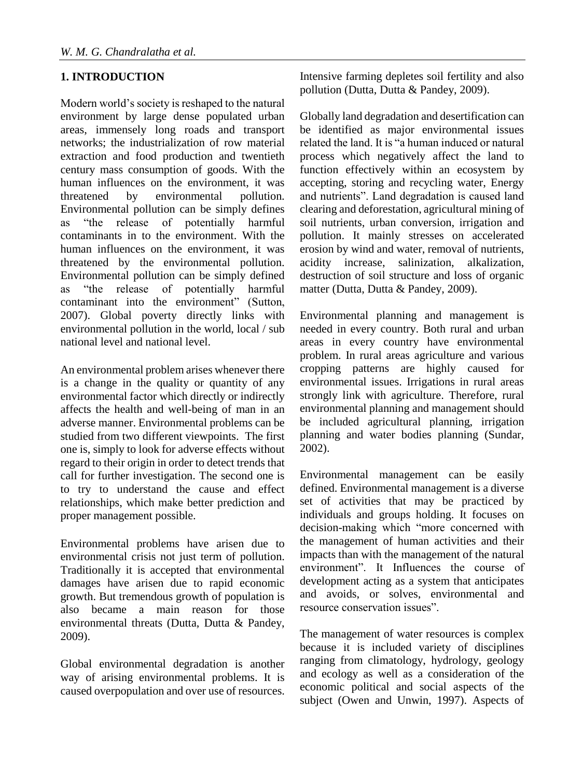## **1. INTRODUCTION**

Modern world's society is reshaped to the natural environment by large dense populated urban areas, immensely long roads and transport networks; the industrialization of row material extraction and food production and twentieth century mass consumption of goods. With the human influences on the environment, it was threatened by environmental pollution. Environmental pollution can be simply defines as "the release of potentially harmful contaminants in to the environment. With the human influences on the environment, it was threatened by the environmental pollution. Environmental pollution can be simply defined as "the release of potentially harmful contaminant into the environment" (Sutton, 2007). Global poverty directly links with environmental pollution in the world, local / sub national level and national level.

An environmental problem arises whenever there is a change in the quality or quantity of any environmental factor which directly or indirectly affects the health and well-being of man in an adverse manner. Environmental problems can be studied from two different viewpoints. The first one is, simply to look for adverse effects without regard to their origin in order to detect trends that call for further investigation. The second one is to try to understand the cause and effect relationships, which make better prediction and proper management possible.

Environmental problems have arisen due to environmental crisis not just term of pollution. Traditionally it is accepted that environmental damages have arisen due to rapid economic growth. But tremendous growth of population is also became a main reason for those environmental threats (Dutta, Dutta & Pandey, 2009).

Global environmental degradation is another way of arising environmental problems. It is caused overpopulation and over use of resources. Intensive farming depletes soil fertility and also pollution (Dutta, Dutta & Pandey, 2009).

Globally land degradation and desertification can be identified as major environmental issues related the land. It is "a human induced or natural process which negatively affect the land to function effectively within an ecosystem by accepting, storing and recycling water, Energy and nutrients". Land degradation is caused land clearing and deforestation, agricultural mining of soil nutrients, urban conversion, irrigation and pollution. It mainly stresses on accelerated erosion by wind and water, removal of nutrients, acidity increase, salinization, alkalization, destruction of soil structure and loss of organic matter (Dutta, Dutta & Pandey, 2009).

Environmental planning and management is needed in every country. Both rural and urban areas in every country have environmental problem. In rural areas agriculture and various cropping patterns are highly caused for environmental issues. Irrigations in rural areas strongly link with agriculture. Therefore, rural environmental planning and management should be included agricultural planning, irrigation planning and water bodies planning (Sundar, 2002).

Environmental management can be easily defined. Environmental management is a diverse set of activities that may be practiced by individuals and groups holding. It focuses on decision-making which "more concerned with the management of human activities and their impacts than with the management of the natural environment". It Influences the course of development acting as a system that anticipates and avoids, or solves, environmental and resource conservation issues".

The management of water resources is complex because it is included variety of disciplines ranging from climatology, hydrology, geology and ecology as well as a consideration of the economic political and social aspects of the subject (Owen and Unwin, 1997). Aspects of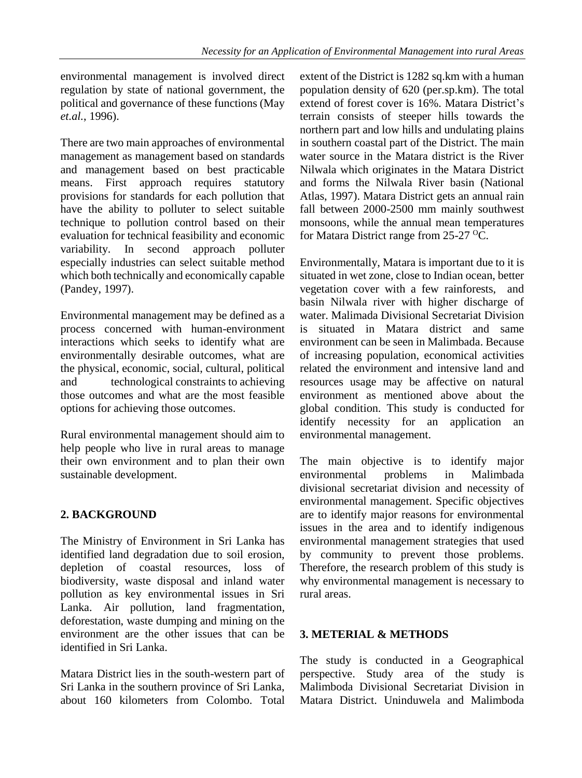environmental management is involved direct regulation by state of national government, the political and governance of these functions (May *et.al.*, 1996).

There are two main approaches of environmental management as management based on standards and management based on best practicable means. First approach requires statutory provisions for standards for each pollution that have the ability to polluter to select suitable technique to pollution control based on their evaluation for technical feasibility and economic variability. In second approach polluter especially industries can select suitable method which both technically and economically capable (Pandey, 1997).

Environmental management may be defined as a process concerned with human-environment interactions which seeks to identify what are environmentally desirable outcomes, what are the physical, economic, social, cultural, political and technological constraints to achieving those outcomes and what are the most feasible options for achieving those outcomes.

Rural environmental management should aim to help people who live in rural areas to manage their own environment and to plan their own sustainable development.

## **2. BACKGROUND**

The Ministry of Environment in Sri Lanka has identified land degradation due to soil erosion, depletion of coastal resources, loss of biodiversity, waste disposal and inland water pollution as key environmental issues in Sri Lanka. Air pollution, land fragmentation, deforestation, waste dumping and mining on the environment are the other issues that can be identified in Sri Lanka.

Matara District lies in the south-western part of Sri Lanka in the southern province of Sri Lanka, about 160 kilometers from Colombo. Total extent of the District is 1282 sq.km with a human population density of 620 (per.sp.km). The total extend of forest cover is 16%. Matara District's terrain consists of steeper hills towards the northern part and low hills and undulating plains in southern coastal part of the District. The main water source in the Matara district is the River Nilwala which originates in the Matara District and forms the Nilwala River basin (National Atlas, 1997). Matara District gets an annual rain fall between 2000-2500 mm mainly southwest monsoons, while the annual mean temperatures for Matara District range from 25-27 <sup>o</sup>C.

Environmentally, Matara is important due to it is situated in wet zone, close to Indian ocean, better vegetation cover with a few rainforests, and basin Nilwala river with higher discharge of water. Malimada Divisional Secretariat Division is situated in Matara district and same environment can be seen in Malimbada. Because of increasing population, economical activities related the environment and intensive land and resources usage may be affective on natural environment as mentioned above about the global condition. This study is conducted for identify necessity for an application an environmental management.

The main objective is to identify major environmental problems in Malimbada divisional secretariat division and necessity of environmental management. Specific objectives are to identify major reasons for environmental issues in the area and to identify indigenous environmental management strategies that used by community to prevent those problems. Therefore, the research problem of this study is why environmental management is necessary to rural areas.

#### **3. METERIAL & METHODS**

The study is conducted in a Geographical perspective. Study area of the study is Malimboda Divisional Secretariat Division in Matara District. Uninduwela and Malimboda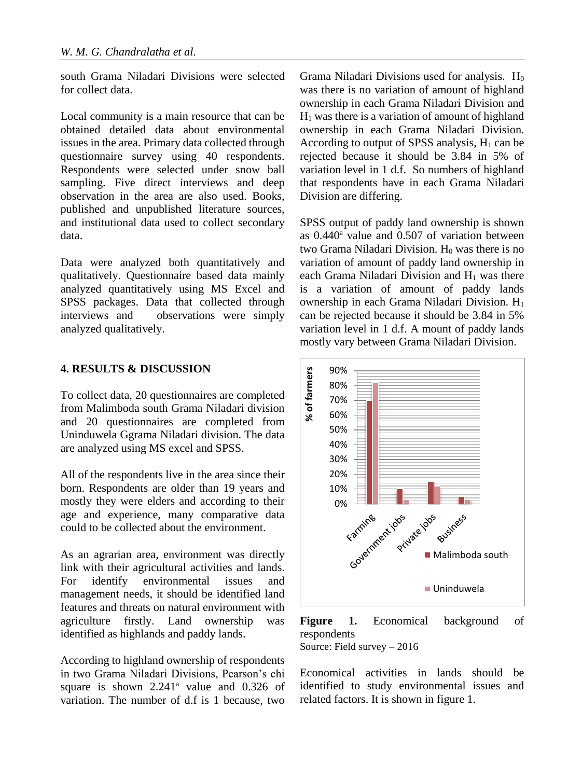south Grama Niladari Divisions were selected for collect data.

Local community is a main resource that can be obtained detailed data about environmental issues in the area. Primary data collected through questionnaire survey using 40 respondents. Respondents were selected under snow ball sampling. Five direct interviews and deep observation in the area are also used. Books, published and unpublished literature sources, and institutional data used to collect secondary data.

Data were analyzed both quantitatively and qualitatively. Questionnaire based data mainly analyzed quantitatively using MS Excel and SPSS packages. Data that collected through interviews and observations were simply analyzed qualitatively.

#### **4. RESULTS & DISCUSSION**

To collect data, 20 questionnaires are completed from Malimboda south Grama Niladari division and 20 questionnaires are completed from Uninduwela Ggrama Niladari division. The data are analyzed using MS excel and SPSS.

All of the respondents live in the area since their born. Respondents are older than 19 years and mostly they were elders and according to their age and experience, many comparative data could to be collected about the environment.

As an agrarian area, environment was directly link with their agricultural activities and lands. For identify environmental issues and management needs, it should be identified land features and threats on natural environment with agriculture firstly. Land ownership was identified as highlands and paddy lands.

According to highland ownership of respondents in two Grama Niladari Divisions, Pearson's chi square is shown  $2.241$ <sup>a</sup> value and 0.326 of variation. The number of d.f is 1 because, two

Grama Niladari Divisions used for analysis.  $H_0$ was there is no variation of amount of highland ownership in each Grama Niladari Division and  $H<sub>1</sub>$  was there is a variation of amount of highland ownership in each Grama Niladari Division. According to output of SPSS analysis,  $H_1$  can be rejected because it should be 3.84 in 5% of variation level in 1 d.f. So numbers of highland that respondents have in each Grama Niladari Division are differing.

SPSS output of paddy land ownership is shown as  $0.440^a$  value and  $0.507$  of variation between two Grama Niladari Division. H<sub>0</sub> was there is no variation of amount of paddy land ownership in each Grama Niladari Division and  $H_1$  was there is a variation of amount of paddy lands ownership in each Grama Niladari Division. H<sup>1</sup> can be rejected because it should be 3.84 in 5% variation level in 1 d.f. A mount of paddy lands mostly vary between Grama Niladari Division.



**Figure 1.** Economical background of respondents Source: Field survey – 2016

Economical activities in lands should be identified to study environmental issues and related factors. It is shown in figure 1.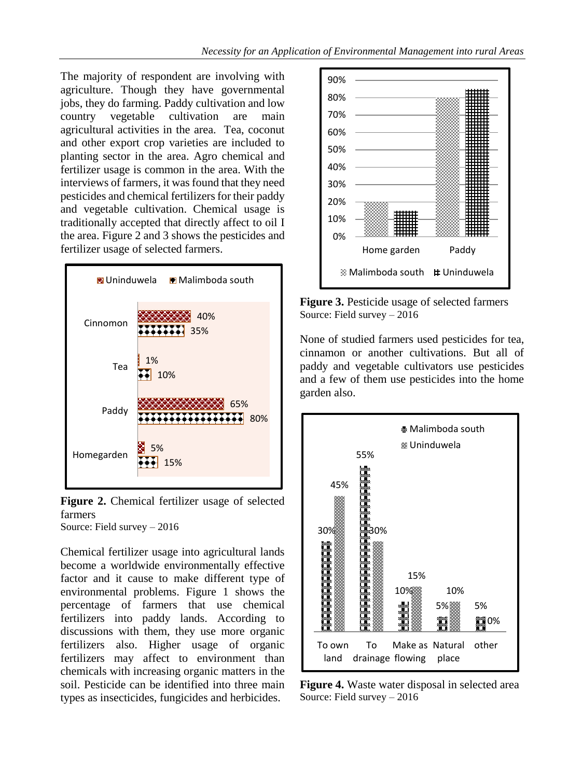The majority of respondent are involving with agriculture. Though they have governmental jobs, they do farming. Paddy cultivation and low country vegetable cultivation are main agricultural activities in the area. Tea, coconut and other export crop varieties are included to planting sector in the area. Agro chemical and fertilizer usage is common in the area. With the interviews of farmers, it was found that they need pesticides and chemical fertilizers for their paddy and vegetable cultivation. Chemical usage is traditionally accepted that directly affect to oil I the area. Figure 2 and 3 shows the pesticides and fertilizer usage of selected farmers.



**Figure 2.** Chemical fertilizer usage of selected farmers Source: Field survey – 2016

Chemical fertilizer usage into agricultural lands become a worldwide environmentally effective factor and it cause to make different type of environmental problems. Figure 1 shows the percentage of farmers that use chemical fertilizers into paddy lands. According to discussions with them, they use more organic fertilizers also. Higher usage of organic fertilizers may affect to environment than chemicals with increasing organic matters in the soil. Pesticide can be identified into three main types as insecticides, fungicides and herbicides.



**Figure 3.** Pesticide usage of selected farmers Source: Field survey – 2016

None of studied farmers used pesticides for tea, cinnamon or another cultivations. But all of paddy and vegetable cultivators use pesticides and a few of them use pesticides into the home garden also.



**Figure 4.** Waste water disposal in selected area Source: Field survey – 2016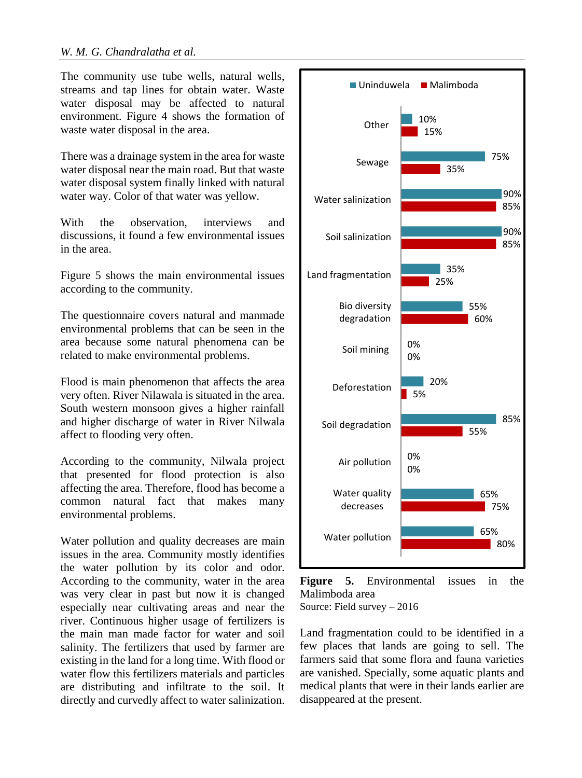The community use tube wells, natural wells, streams and tap lines for obtain water. Waste water disposal may be affected to natural environment. Figure 4 shows the formation of waste water disposal in the area.

There was a drainage system in the area for waste water disposal near the main road. But that waste water disposal system finally linked with natural water way. Color of that water was yellow.

With the observation, interviews and discussions, it found a few environmental issues in the area.

Figure 5 shows the main environmental issues according to the community.

The questionnaire covers natural and manmade environmental problems that can be seen in the area because some natural phenomena can be related to make environmental problems.

Flood is main phenomenon that affects the area very often. River Nilawala is situated in the area. South western monsoon gives a higher rainfall and higher discharge of water in River Nilwala affect to flooding very often.

According to the community, Nilwala project that presented for flood protection is also affecting the area. Therefore, flood has become a common natural fact that makes many environmental problems.

Water pollution and quality decreases are main issues in the area. Community mostly identifies the water pollution by its color and odor. According to the community, water in the area was very clear in past but now it is changed especially near cultivating areas and near the river. Continuous higher usage of fertilizers is the main man made factor for water and soil salinity. The fertilizers that used by farmer are existing in the land for a long time. With flood or water flow this fertilizers materials and particles are distributing and infiltrate to the soil. It directly and curvedly affect to water salinization.



**Figure 5.** Environmental issues in the Malimboda area Source: Field survey – 2016

Land fragmentation could to be identified in a few places that lands are going to sell. The farmers said that some flora and fauna varieties are vanished. Specially, some aquatic plants and medical plants that were in their lands earlier are disappeared at the present.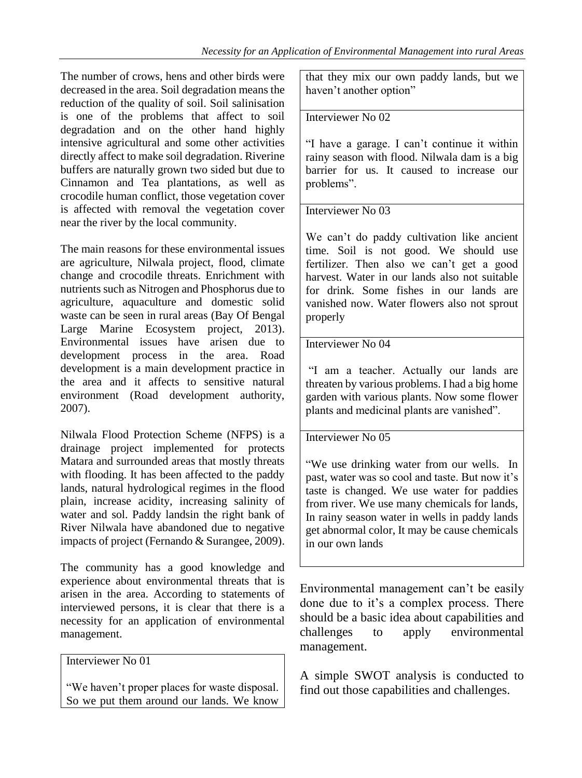The number of crows, hens and other birds were decreased in the area. Soil degradation means the reduction of the quality of soil. Soil salinisation is one of the problems that affect to soil degradation and on the other hand highly intensive agricultural and some other activities directly affect to make soil degradation. Riverine buffers are naturally grown two sided but due to Cinnamon and Tea plantations, as well as crocodile human conflict, those vegetation cover is affected with removal the vegetation cover near the river by the local community.

The main reasons for these environmental issues are agriculture, Nilwala project, flood, climate change and crocodile threats. Enrichment with nutrients such as Nitrogen and Phosphorus due to agriculture, aquaculture and domestic solid waste can be seen in rural areas (Bay Of Bengal Large Marine Ecosystem project, 2013). Environmental issues have arisen due to development process in the area. Road development is a main development practice in the area and it affects to sensitive natural environment (Road development authority, 2007).

Nilwala Flood Protection Scheme (NFPS) is a drainage project implemented for protects Matara and surrounded areas that mostly threats with flooding. It has been affected to the paddy lands, natural hydrological regimes in the flood plain, increase acidity, increasing salinity of water and sol. Paddy landsin the right bank of River Nilwala have abandoned due to negative impacts of project (Fernando & Surangee, 2009).

The community has a good knowledge and experience about environmental threats that is arisen in the area. According to statements of interviewed persons, it is clear that there is a necessity for an application of environmental management.

Interviewer No 01

"We haven't proper places for waste disposal. So we put them around our lands. We know that they mix our own paddy lands, but we haven't another option"

#### Interviewer No 02

"I have a garage. I can't continue it within rainy season with flood. Nilwala dam is a big barrier for us. It caused to increase our problems".

## Interviewer No 03

We can't do paddy cultivation like ancient time. Soil is not good. We should use fertilizer. Then also we can't get a good harvest. Water in our lands also not suitable for drink. Some fishes in our lands are vanished now. Water flowers also not sprout properly

#### Interviewer No 04

"I am a teacher. Actually our lands are threaten by various problems. I had a big home garden with various plants. Now some flower plants and medicinal plants are vanished".

#### Interviewer No 05

"We use drinking water from our wells. In past, water was so cool and taste. But now it's taste is changed. We use water for paddies from river. We use many chemicals for lands, In rainy season water in wells in paddy lands get abnormal color, It may be cause chemicals in our own lands

Environmental management can't be easily done due to it's a complex process. There should be a basic idea about capabilities and challenges to apply environmental management.

A simple SWOT analysis is conducted to find out those capabilities and challenges.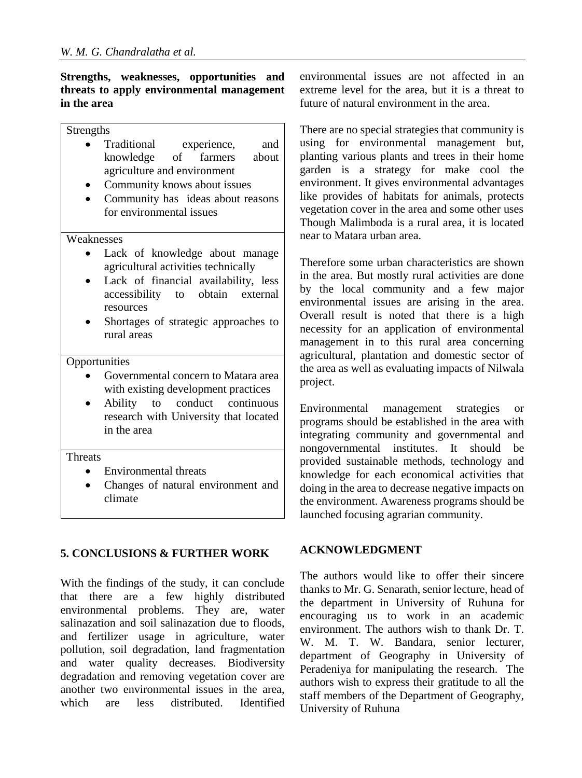#### **Strengths, weaknesses, opportunities and threats to apply environmental management in the area**

#### Strengths

- Traditional experience, and knowledge of farmers about agriculture and environment
- Community knows about issues
- Community has ideas about reasons for environmental issues

Weaknesses

- Lack of knowledge about manage agricultural activities technically
- Lack of financial availability, less accessibility to obtain external resources
- Shortages of strategic approaches to rural areas

#### **Opportunities**

- Governmental concern to Matara area with existing development practices
- Ability to conduct continuous research with University that located in the area

#### **Threats**

- Environmental threats
- Changes of natural environment and climate

## **5. CONCLUSIONS & FURTHER WORK**

With the findings of the study, it can conclude that there are a few highly distributed environmental problems. They are, water salinazation and soil salinazation due to floods, and fertilizer usage in agriculture, water pollution, soil degradation, land fragmentation and water quality decreases. Biodiversity degradation and removing vegetation cover are another two environmental issues in the area, which are less distributed Identified environmental issues are not affected in an extreme level for the area, but it is a threat to future of natural environment in the area.

There are no special strategies that community is using for environmental management but, planting various plants and trees in their home garden is a strategy for make cool the environment. It gives environmental advantages like provides of habitats for animals, protects vegetation cover in the area and some other uses Though Malimboda is a rural area, it is located near to Matara urban area.

Therefore some urban characteristics are shown in the area. But mostly rural activities are done by the local community and a few major environmental issues are arising in the area. Overall result is noted that there is a high necessity for an application of environmental management in to this rural area concerning agricultural, plantation and domestic sector of the area as well as evaluating impacts of Nilwala project.

Environmental management strategies or programs should be established in the area with integrating community and governmental and nongovernmental institutes. It should be provided sustainable methods, technology and knowledge for each economical activities that doing in the area to decrease negative impacts on the environment. Awareness programs should be launched focusing agrarian community.

## **ACKNOWLEDGMENT**

The authors would like to offer their sincere thanks to Mr. G. Senarath, senior lecture, head of the department in University of Ruhuna for encouraging us to work in an academic environment. The authors wish to thank Dr. T. W. M. T. W. Bandara, senior lecturer, department of Geography in University of Peradeniya for manipulating the research. The authors wish to express their gratitude to all the staff members of the Department of Geography, University of Ruhuna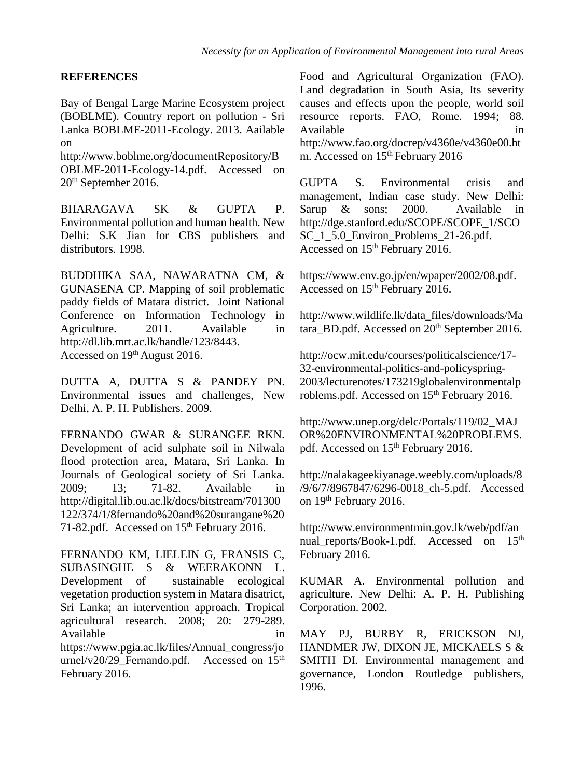#### **REFERENCES**

Bay of Bengal Large Marine Ecosystem project (BOBLME). Country report on pollution - Sri Lanka BOBLME-2011-Ecology. 2013. Aailable on

http://www.boblme.org/documentRepository/B OBLME-2011-Ecology-14.pdf. Accessed on 20th September 2016.

BHARAGAVA SK & GUPTA P. Environmental pollution and human health. New Delhi: S.K Jian for CBS publishers and distributors. 1998.

BUDDHIKA SAA, NAWARATNA CM, & GUNASENA CP. Mapping of soil problematic paddy fields of Matara district. Joint National Conference on Information Technology in Agriculture. 2011. Available in http://dl.lib.mrt.ac.lk/handle/123/8443. Accessed on 19<sup>th</sup> August 2016.

DUTTA A, DUTTA S & PANDEY PN. Environmental issues and challenges, New Delhi, A. P. H. Publishers. 2009.

FERNANDO GWAR & SURANGEE RKN. Development of acid sulphate soil in Nilwala flood protection area, Matara, Sri Lanka. In Journals of Geological society of Sri Lanka. 2009; 13; 71-82. Available in http://digital.lib.ou.ac.lk/docs/bitstream/701300 122/374/1/8fernando%20and%20surangane%20 71-82.pdf. Accessed on 15<sup>th</sup> February 2016.

FERNANDO KM, LIELEIN G, FRANSIS C, SUBASINGHE S & WEERAKONN L. Development of sustainable ecological vegetation production system in Matara disatrict, Sri Lanka; an intervention approach. Tropical agricultural research. 2008; 20: 279-289. Available in the interval of  $\overline{a}$  in https://www.pgia.ac.lk/files/Annual\_congress/jo urnel/v20/29 Fernando.pdf. Accessed on  $15<sup>th</sup>$ February 2016.

Food and Agricultural Organization (FAO). Land degradation in South Asia, Its severity causes and effects upon the people, world soil resource reports. FAO, Rome. 1994; 88. Available in the same in the same in the same in the same in the same in the same in the same in the same in the same in the same in the same in the same in the same in the same in the same in the same in the same in the s http://www.fao.org/docrep/v4360e/v4360e00.ht m. Accessed on 15<sup>th</sup> February 2016

GUPTA S. Environmental crisis and management, Indian case study. New Delhi: Sarup & sons; 2000. Available in http://dge.stanford.edu/SCOPE/SCOPE\_1/SCO SC\_1\_5.0\_Environ\_Problems\_21-26.pdf. Accessed on  $15<sup>th</sup>$  February 2016.

https://www.env.go.jp/en/wpaper/2002/08.pdf. Accessed on 15<sup>th</sup> February 2016.

http://www.wildlife.lk/data\_files/downloads/Ma tara\_BD.pdf. Accessed on 20<sup>th</sup> September 2016.

http://ocw.mit.edu/courses/politicalscience/17- 32-environmental-politics-and-policyspring-2003/lecturenotes/173219globalenvironmentalp roblems.pdf. Accessed on 15<sup>th</sup> February 2016.

http://www.unep.org/delc/Portals/119/02\_MAJ OR%20ENVIRONMENTAL%20PROBLEMS. pdf. Accessed on 15<sup>th</sup> February 2016.

http://nalakageekiyanage.weebly.com/uploads/8 /9/6/7/8967847/6296-0018\_ch-5.pdf. Accessed on 19<sup>th</sup> February 2016.

http://www.environmentmin.gov.lk/web/pdf/an nual\_reports/Book-1.pdf. Accessed on 15<sup>th</sup> February 2016.

KUMAR A. Environmental pollution and agriculture. New Delhi: A. P. H. Publishing Corporation. 2002.

MAY PJ, BURBY R, ERICKSON NJ, HANDMER JW, DIXON JE, MICKAELS S & SMITH DI. Environmental management and governance, London Routledge publishers, 1996.